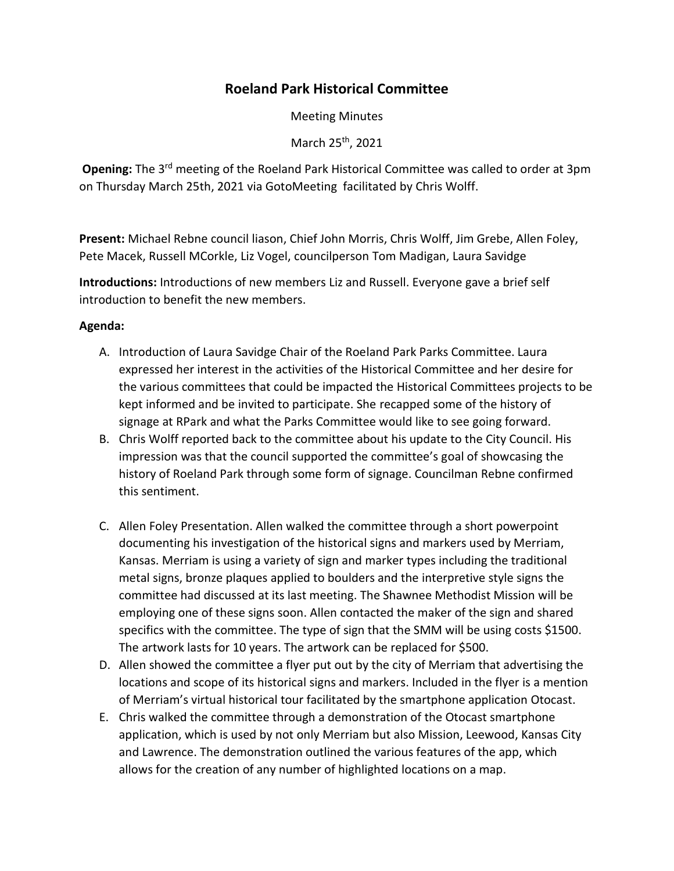## **Roeland Park Historical Committee**

Meeting Minutes

March 25<sup>th</sup>, 2021

Opening: The 3<sup>rd</sup> meeting of the Roeland Park Historical Committee was called to order at 3pm on Thursday March 25th, 2021 via GotoMeeting facilitated by Chris Wolff.

**Present:** Michael Rebne council liason, Chief John Morris, Chris Wolff, Jim Grebe, Allen Foley, Pete Macek, Russell MCorkle, Liz Vogel, councilperson Tom Madigan, Laura Savidge

**Introductions:** Introductions of new members Liz and Russell. Everyone gave a brief self introduction to benefit the new members.

## **Agenda:**

- A. Introduction of Laura Savidge Chair of the Roeland Park Parks Committee. Laura expressed her interest in the activities of the Historical Committee and her desire for the various committees that could be impacted the Historical Committees projects to be kept informed and be invited to participate. She recapped some of the history of signage at RPark and what the Parks Committee would like to see going forward.
- B. Chris Wolff reported back to the committee about his update to the City Council. His impression was that the council supported the committee's goal of showcasing the history of Roeland Park through some form of signage. Councilman Rebne confirmed this sentiment.
- C. Allen Foley Presentation. Allen walked the committee through a short powerpoint documenting his investigation of the historical signs and markers used by Merriam, Kansas. Merriam is using a variety of sign and marker types including the traditional metal signs, bronze plaques applied to boulders and the interpretive style signs the committee had discussed at its last meeting. The Shawnee Methodist Mission will be employing one of these signs soon. Allen contacted the maker of the sign and shared specifics with the committee. The type of sign that the SMM will be using costs \$1500. The artwork lasts for 10 years. The artwork can be replaced for \$500.
- D. Allen showed the committee a flyer put out by the city of Merriam that advertising the locations and scope of its historical signs and markers. Included in the flyer is a mention of Merriam's virtual historical tour facilitated by the smartphone application Otocast.
- E. Chris walked the committee through a demonstration of the Otocast smartphone application, which is used by not only Merriam but also Mission, Leewood, Kansas City and Lawrence. The demonstration outlined the various features of the app, which allows for the creation of any number of highlighted locations on a map.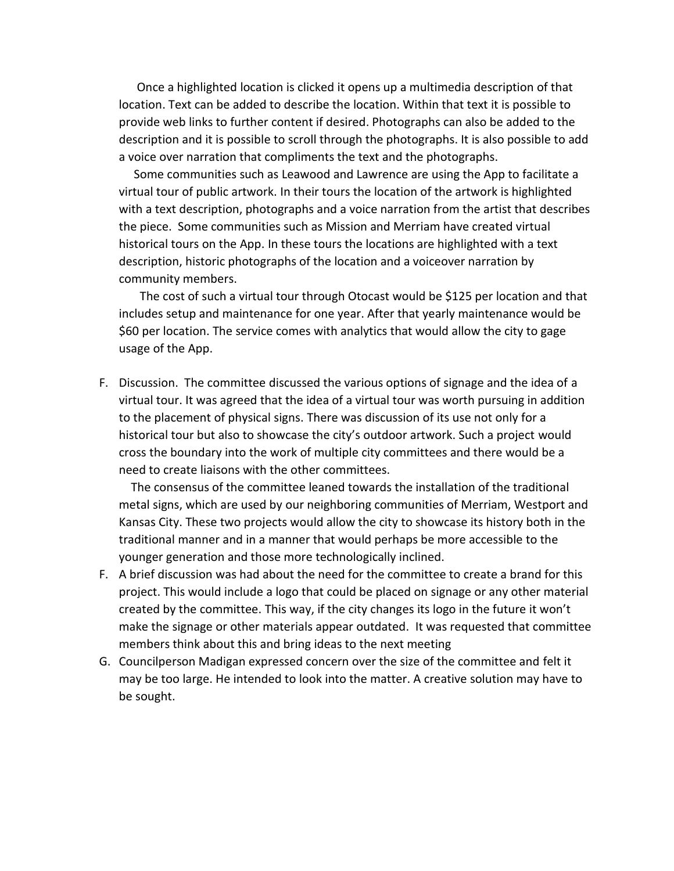Once a highlighted location is clicked it opens up a multimedia description of that location. Text can be added to describe the location. Within that text it is possible to provide web links to further content if desired. Photographs can also be added to the description and it is possible to scroll through the photographs. It is also possible to add a voice over narration that compliments the text and the photographs.

 Some communities such as Leawood and Lawrence are using the App to facilitate a virtual tour of public artwork. In their tours the location of the artwork is highlighted with a text description, photographs and a voice narration from the artist that describes the piece. Some communities such as Mission and Merriam have created virtual historical tours on the App. In these tours the locations are highlighted with a text description, historic photographs of the location and a voiceover narration by community members.

 The cost of such a virtual tour through Otocast would be \$125 per location and that includes setup and maintenance for one year. After that yearly maintenance would be \$60 per location. The service comes with analytics that would allow the city to gage usage of the App.

F. Discussion. The committee discussed the various options of signage and the idea of a virtual tour. It was agreed that the idea of a virtual tour was worth pursuing in addition to the placement of physical signs. There was discussion of its use not only for a historical tour but also to showcase the city's outdoor artwork. Such a project would cross the boundary into the work of multiple city committees and there would be a need to create liaisons with the other committees.

 The consensus of the committee leaned towards the installation of the traditional metal signs, which are used by our neighboring communities of Merriam, Westport and Kansas City. These two projects would allow the city to showcase its history both in the traditional manner and in a manner that would perhaps be more accessible to the younger generation and those more technologically inclined.

- F. A brief discussion was had about the need for the committee to create a brand for this project. This would include a logo that could be placed on signage or any other material created by the committee. This way, if the city changes its logo in the future it won't make the signage or other materials appear outdated. It was requested that committee members think about this and bring ideas to the next meeting
- G. Councilperson Madigan expressed concern over the size of the committee and felt it may be too large. He intended to look into the matter. A creative solution may have to be sought.